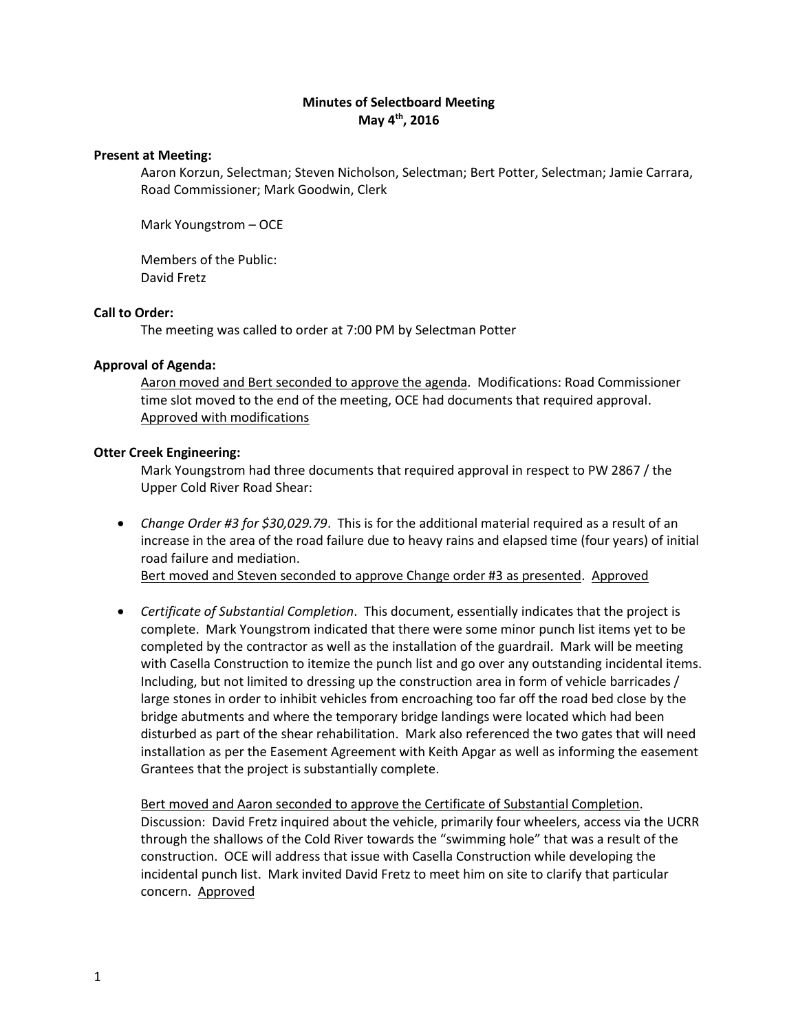# **Minutes of Selectboard Meeting May 4th, 2016**

## **Present at Meeting:**

Aaron Korzun, Selectman; Steven Nicholson, Selectman; Bert Potter, Selectman; Jamie Carrara, Road Commissioner; Mark Goodwin, Clerk

Mark Youngstrom – OCE

Members of the Public: David Fretz

## **Call to Order:**

The meeting was called to order at 7:00 PM by Selectman Potter

## **Approval of Agenda:**

Aaron moved and Bert seconded to approve the agenda. Modifications: Road Commissioner time slot moved to the end of the meeting, OCE had documents that required approval. Approved with modifications

## **Otter Creek Engineering:**

Mark Youngstrom had three documents that required approval in respect to PW 2867 / the Upper Cold River Road Shear:

 *Change Order #3 for \$30,029.79*. This is for the additional material required as a result of an increase in the area of the road failure due to heavy rains and elapsed time (four years) of initial road failure and mediation.

Bert moved and Steven seconded to approve Change order #3 as presented. Approved

 *Certificate of Substantial Completion*. This document, essentially indicates that the project is complete. Mark Youngstrom indicated that there were some minor punch list items yet to be completed by the contractor as well as the installation of the guardrail. Mark will be meeting with Casella Construction to itemize the punch list and go over any outstanding incidental items. Including, but not limited to dressing up the construction area in form of vehicle barricades / large stones in order to inhibit vehicles from encroaching too far off the road bed close by the bridge abutments and where the temporary bridge landings were located which had been disturbed as part of the shear rehabilitation. Mark also referenced the two gates that will need installation as per the Easement Agreement with Keith Apgar as well as informing the easement Grantees that the project is substantially complete.

Bert moved and Aaron seconded to approve the Certificate of Substantial Completion. Discussion: David Fretz inquired about the vehicle, primarily four wheelers, access via the UCRR through the shallows of the Cold River towards the "swimming hole" that was a result of the construction. OCE will address that issue with Casella Construction while developing the incidental punch list. Mark invited David Fretz to meet him on site to clarify that particular concern. Approved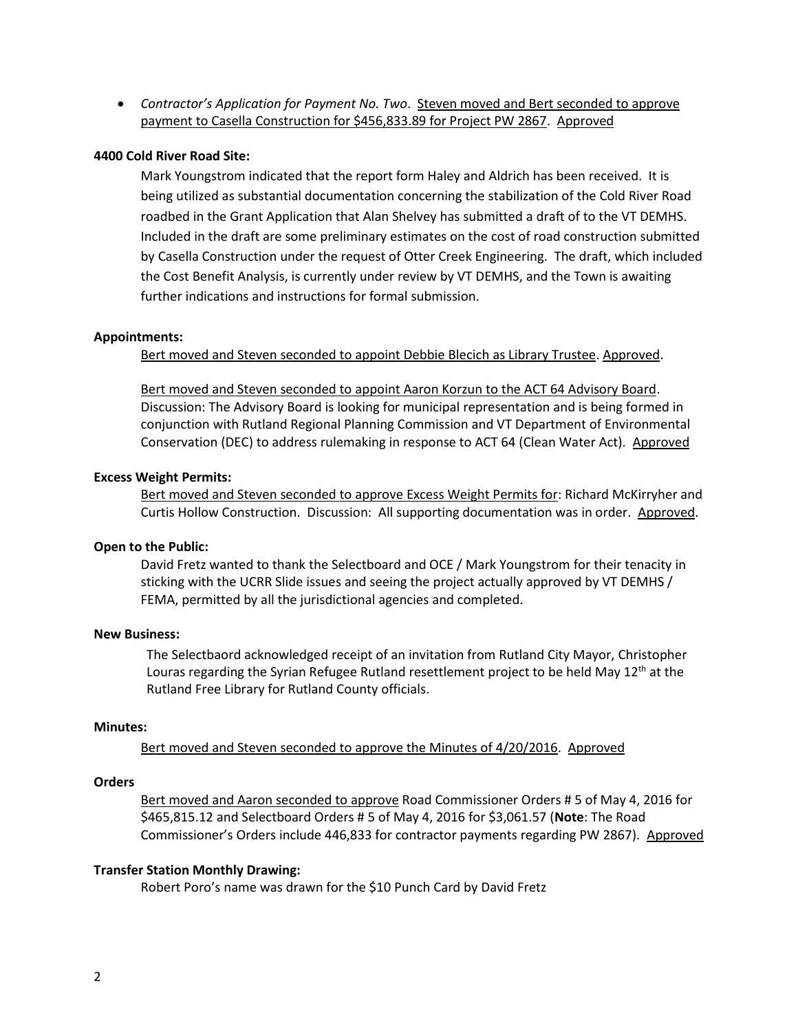*Contractor's Application for Payment No. Two*. Steven moved and Bert seconded to approve payment to Casella Construction for \$456,833.89 for Project PW 2867. Approved

#### **4400 Cold River Road Site:**

Mark Youngstrom indicated that the report form Haley and Aldrich has been received. It is being utilized as substantial documentation concerning the stabilization of the Cold River Road roadbed in the Grant Application that Alan Shelvey has submitted a draft of to the VT DEMHS. Included in the draft are some preliminary estimates on the cost of road construction submitted by Casella Construction under the request of Otter Creek Engineering. The draft, which included the Cost Benefit Analysis, is currently under review by VT DEMHS, and the Town is awaiting further indications and instructions for formal submission.

#### **Appointments:**

Bert moved and Steven seconded to appoint Debbie Blecich as Library Trustee. Approved.

Bert moved and Steven seconded to appoint Aaron Korzun to the ACT 64 Advisory Board. Discussion: The Advisory Board is looking for municipal representation and is being formed in conjunction with Rutland Regional Planning Commission and VT Department of Environmental Conservation (DEC) to address rulemaking in response to ACT 64 (Clean Water Act). Approved

#### **Excess Weight Permits:**

Bert moved and Steven seconded to approve Excess Weight Permits for: Richard McKirryher and Curtis Hollow Construction. Discussion: All supporting documentation was in order. Approved.

### **Open to the Public:**

David Fretz wanted to thank the Selectboard and OCE / Mark Youngstrom for their tenacity in sticking with the UCRR Slide issues and seeing the project actually approved by VT DEMHS / FEMA, permitted by all the jurisdictional agencies and completed.

## **New Business:**

The Selectbaord acknowledged receipt of an invitation from Rutland City Mayor, Christopher Louras regarding the Syrian Refugee Rutland resettlement project to be held May  $12<sup>th</sup>$  at the Rutland Free Library for Rutland County officials.

### **Minutes:**

Bert moved and Steven seconded to approve the Minutes of 4/20/2016. Approved

## **Orders**

Bert moved and Aaron seconded to approve Road Commissioner Orders # 5 of May 4, 2016 for \$465,815.12 and Selectboard Orders # 5 of May 4, 2016 for \$3,061.57 (**Note**: The Road Commissioner's Orders include 446,833 for contractor payments regarding PW 2867). Approved

#### **Transfer Station Monthly Drawing:**

Robert Poro's name was drawn for the \$10 Punch Card by David Fretz